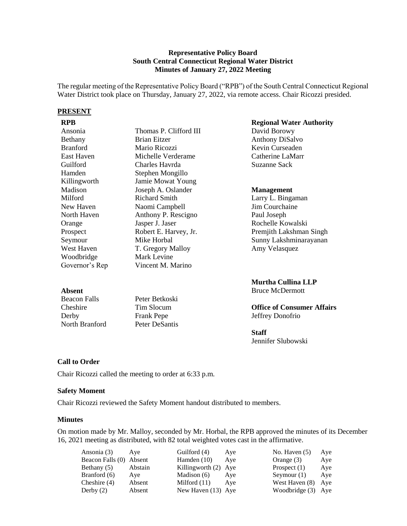## **Representative Policy Board South Central Connecticut Regional Water District Minutes of January 27, 2022 Meeting**

The regular meeting of the Representative Policy Board ("RPB") of the South Central Connecticut Regional Water District took place on Thursday, January 27, 2022, via remote access. Chair Ricozzi presided.

#### **PRESENT**

| NL D            |                        |
|-----------------|------------------------|
| Ansonia         | Thomas P. Clifford III |
| Bethany         | <b>Brian Eitzer</b>    |
| <b>Branford</b> | Mario Ricozzi          |
| East Haven      | Michelle Verderame     |
| Guilford        | Charles Havrda         |
| Hamden          | Stephen Mongillo       |
| Killingworth    | Jamie Mowat Young      |
| Madison         | Joseph A. Oslander     |
| Milford         | <b>Richard Smith</b>   |
| New Haven       | Naomi Campbell         |
| North Haven     | Anthony P. Rescigno    |
| Orange          | Jasper J. Jaser        |
| Prospect        | Robert E. Harvey, Jr.  |
| Seymour         | Mike Horbal            |
| West Haven      | T. Gregory Malloy      |
| Woodbridge      | Mark Levine            |
| Governor's Rep  | Vincent M. Marino      |
|                 |                        |

# Peter Betkoski Tim Slocum Frank Pepe Peter DeSantis

# **RPB Regional Water Authority**

David Borowy Anthony DiSalvo Kevin Curseaden Catherine LaMarr Suzanne Sack

# **Management**

Larry L. Bingaman Jim Courchaine Paul Joseph Rochelle Kowalski Premjith Lakshman Singh Sunny Lakshminarayanan Amy Velasquez

# **Murtha Cullina LLP**

Bruce McDermott

# **Office of Consumer Affairs** Jeffrey Donofrio

## **Staff**

Jennifer Slubowski

# **Call to Order**

North Branford

**Absent** Beacon Falls Cheshire Derby

Chair Ricozzi called the meeting to order at 6:33 p.m.

### **Safety Moment**

Chair Ricozzi reviewed the Safety Moment handout distributed to members.

### **Minutes**

On motion made by Mr. Malloy, seconded by Mr. Horbal, the RPB approved the minutes of its December 16, 2021 meeting as distributed, with 82 total weighted votes cast in the affirmative.

| Ansonia (3)             | Ave     | Guilford (4)         | Aye | No. Haven $(5)$    | Aye |
|-------------------------|---------|----------------------|-----|--------------------|-----|
| Beacon Falls (0) Absent |         | Hamden $(10)$        | Ave | Orange $(3)$       | Aye |
| Bethany (5)             | Abstain | Killingworth (2) Aye |     | Prospect $(1)$     | Aye |
| Branford (6)            | Aye     | Madison (6)          | Ave | Seymour $(1)$      | Aye |
| Cheshire $(4)$          | Absent  | Milford $(11)$       | Ave | West Haven (8)     | Aye |
| Derby $(2)$             | Absent  | New Haven (13) Aye   |     | Woodbridge (3) Aye |     |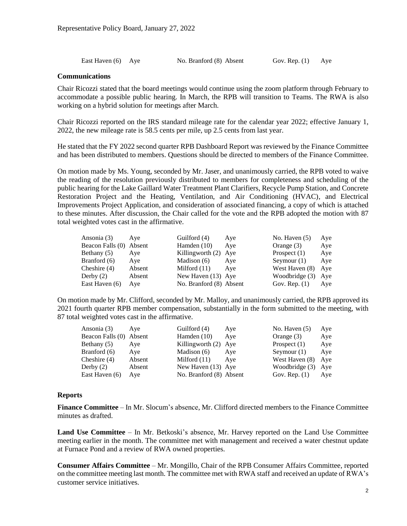| East Haven (6) Aye |  | No. Branford (8) Absent | Gov. Rep. $(1)$ Aye |  |
|--------------------|--|-------------------------|---------------------|--|
|--------------------|--|-------------------------|---------------------|--|

#### **Communications**

Chair Ricozzi stated that the board meetings would continue using the zoom platform through February to accommodate a possible public hearing. In March, the RPB will transition to Teams. The RWA is also working on a hybrid solution for meetings after March.

Chair Ricozzi reported on the IRS standard mileage rate for the calendar year 2022; effective January 1, 2022, the new mileage rate is 58.5 cents per mile, up 2.5 cents from last year.

He stated that the FY 2022 second quarter RPB Dashboard Report was reviewed by the Finance Committee and has been distributed to members. Questions should be directed to members of the Finance Committee.

On motion made by Ms. Young, seconded by Mr. Jaser, and unanimously carried, the RPB voted to waive the reading of the resolution previously distributed to members for completeness and scheduling of the public hearing for the Lake Gaillard Water Treatment Plant Clarifiers, Recycle Pump Station, and Concrete Restoration Project and the Heating, Ventilation, and Air Conditioning (HVAC), and Electrical Improvements Project Application, and consideration of associated financing, a copy of which is attached to these minutes. After discussion, the Chair called for the vote and the RPB adopted the motion with 87 total weighted votes cast in the affirmative.

| Ansonia (3)             | Ave    | Guilford (4)            | Aye | No. Haven $(5)$ | Aye |
|-------------------------|--------|-------------------------|-----|-----------------|-----|
| Beacon Falls (0) Absent |        | Hamden $(10)$           | Ave | Orange $(3)$    | Aye |
| Bethany (5)             | Aye    | Killingworth (2) Aye    |     | Prospect $(1)$  | Aye |
| Branford (6)            | Aye    | Madison (6)             | Aye | Seymour $(1)$   | Aye |
| Cheshire (4)            | Absent | Milford $(11)$          | Ave | West Haven (8)  | Aye |
| Derby (2)               | Absent | New Haven (13) Aye      |     | Woodbridge (3)  | Aye |
| East Haven (6)          | Aye    | No. Branford (8) Absent |     | Gov. Rep. $(1)$ | Aye |

On motion made by Mr. Clifford, seconded by Mr. Malloy, and unanimously carried, the RPB approved its 2021 fourth quarter RPB member compensation, substantially in the form submitted to the meeting, with 87 total weighted votes cast in the affirmative.

| Ansonia (3)             | Ave    | Guilford (4)            | Aye | No. Haven $(5)$ | Aye |
|-------------------------|--------|-------------------------|-----|-----------------|-----|
| Beacon Falls (0) Absent |        | Hamden $(10)$           | Ave | Orange $(3)$    | Aye |
| Bethany (5)             | Aye    | Killingworth (2) Aye    |     | Prospect $(1)$  | Aye |
| Branford (6)            | Aye    | Madison $(6)$           | Ave | Seymour $(1)$   | Aye |
| Cheshire $(4)$          | Absent | Milford $(11)$          | Ave | West Haven (8)  | Aye |
| Derby $(2)$             | Absent | New Haven (13) Aye      |     | Woodbridge (3)  | Aye |
| East Haven (6)          | Ave    | No. Branford (8) Absent |     | Gov. Rep. $(1)$ | Aye |

### **Reports**

**Finance Committee** – In Mr. Slocum's absence, Mr. Clifford directed members to the Finance Committee minutes as drafted.

**Land Use Committee** – In Mr. Betkoski's absence, Mr. Harvey reported on the Land Use Committee meeting earlier in the month. The committee met with management and received a water chestnut update at Furnace Pond and a review of RWA owned properties.

**Consumer Affairs Committee** – Mr. Mongillo, Chair of the RPB Consumer Affairs Committee, reported on the committee meeting last month. The committee met with RWA staff and received an update of RWA's customer service initiatives.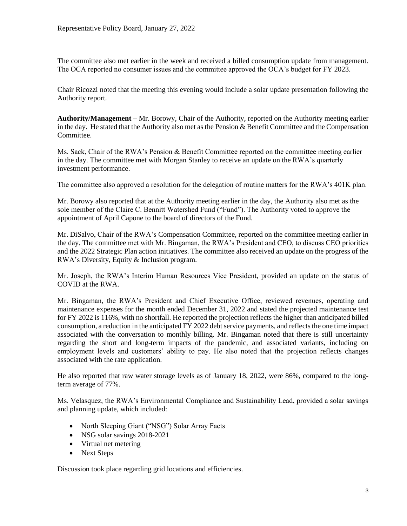The committee also met earlier in the week and received a billed consumption update from management. The OCA reported no consumer issues and the committee approved the OCA's budget for FY 2023.

Chair Ricozzi noted that the meeting this evening would include a solar update presentation following the Authority report.

**Authority/Management** – Mr. Borowy, Chair of the Authority, reported on the Authority meeting earlier in the day. He stated that the Authority also met as the Pension & Benefit Committee and the Compensation Committee.

Ms. Sack, Chair of the RWA's Pension & Benefit Committee reported on the committee meeting earlier in the day. The committee met with Morgan Stanley to receive an update on the RWA's quarterly investment performance.

The committee also approved a resolution for the delegation of routine matters for the RWA's 401K plan.

Mr. Borowy also reported that at the Authority meeting earlier in the day, the Authority also met as the sole member of the Claire C. Bennitt Watershed Fund ("Fund"). The Authority voted to approve the appointment of April Capone to the board of directors of the Fund.

Mr. DiSalvo, Chair of the RWA's Compensation Committee, reported on the committee meeting earlier in the day. The committee met with Mr. Bingaman, the RWA's President and CEO, to discuss CEO priorities and the 2022 Strategic Plan action initiatives. The committee also received an update on the progress of the RWA's Diversity, Equity & Inclusion program.

Mr. Joseph, the RWA's Interim Human Resources Vice President, provided an update on the status of COVID at the RWA.

Mr. Bingaman, the RWA's President and Chief Executive Office, reviewed revenues, operating and maintenance expenses for the month ended December 31, 2022 and stated the projected maintenance test for FY 2022 is 116%, with no shortfall. He reported the projection reflects the higher than anticipated billed consumption, a reduction in the anticipated FY 2022 debt service payments, and reflects the one time impact associated with the conversation to monthly billing. Mr. Bingaman noted that there is still uncertainty regarding the short and long-term impacts of the pandemic, and associated variants, including on employment levels and customers' ability to pay. He also noted that the projection reflects changes associated with the rate application.

He also reported that raw water storage levels as of January 18, 2022, were 86%, compared to the longterm average of 77%.

Ms. Velasquez, the RWA's Environmental Compliance and Sustainability Lead, provided a solar savings and planning update, which included:

- North Sleeping Giant ("NSG") Solar Array Facts
- NSG solar savings 2018-2021
- Virtual net metering
- Next Steps

Discussion took place regarding grid locations and efficiencies.